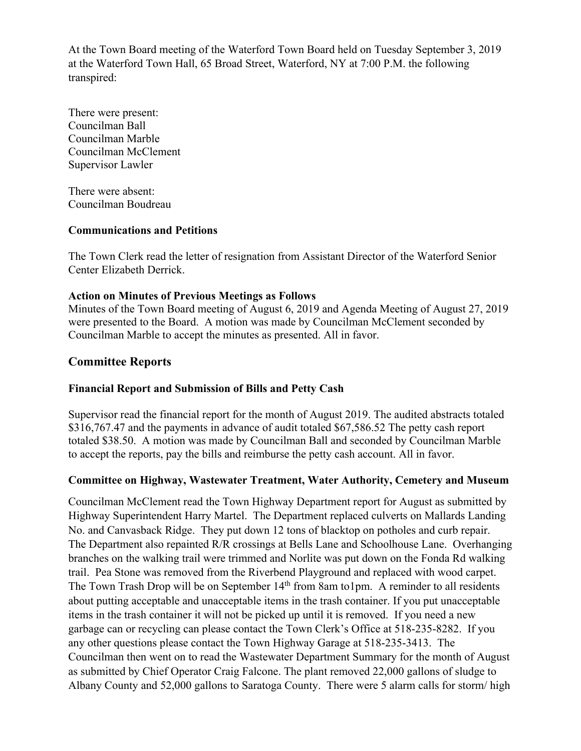At the Town Board meeting of the Waterford Town Board held on Tuesday September 3, 2019 at the Waterford Town Hall, 65 Broad Street, Waterford, NY at 7:00 P.M. the following transpired:

There were present: Councilman Ball Councilman Marble Councilman McClement Supervisor Lawler

There were absent: Councilman Boudreau

### **Communications and Petitions**

The Town Clerk read the letter of resignation from Assistant Director of the Waterford Senior Center Elizabeth Derrick.

### **Action on Minutes of Previous Meetings as Follows**

Minutes of the Town Board meeting of August 6, 2019 and Agenda Meeting of August 27, 2019 were presented to the Board. A motion was made by Councilman McClement seconded by Councilman Marble to accept the minutes as presented. All in favor.

## **Committee Reports**

## **Financial Report and Submission of Bills and Petty Cash**

Supervisor read the financial report for the month of August 2019. The audited abstracts totaled \$316,767.47 and the payments in advance of audit totaled \$67,586.52 The petty cash report totaled \$38.50. A motion was made by Councilman Ball and seconded by Councilman Marble to accept the reports, pay the bills and reimburse the petty cash account. All in favor.

## **Committee on Highway, Wastewater Treatment, Water Authority, Cemetery and Museum**

Councilman McClement read the Town Highway Department report for August as submitted by Highway Superintendent Harry Martel. The Department replaced culverts on Mallards Landing No. and Canvasback Ridge. They put down 12 tons of blacktop on potholes and curb repair. The Department also repainted R/R crossings at Bells Lane and Schoolhouse Lane. Overhanging branches on the walking trail were trimmed and Norlite was put down on the Fonda Rd walking trail. Pea Stone was removed from the Riverbend Playground and replaced with wood carpet. The Town Trash Drop will be on September 14<sup>th</sup> from 8am to1pm. A reminder to all residents about putting acceptable and unacceptable items in the trash container. If you put unacceptable items in the trash container it will not be picked up until it is removed. If you need a new garbage can or recycling can please contact the Town Clerk's Office at 518-235-8282. If you any other questions please contact the Town Highway Garage at 518-235-3413. The Councilman then went on to read the Wastewater Department Summary for the month of August as submitted by Chief Operator Craig Falcone. The plant removed 22,000 gallons of sludge to Albany County and 52,000 gallons to Saratoga County. There were 5 alarm calls for storm/ high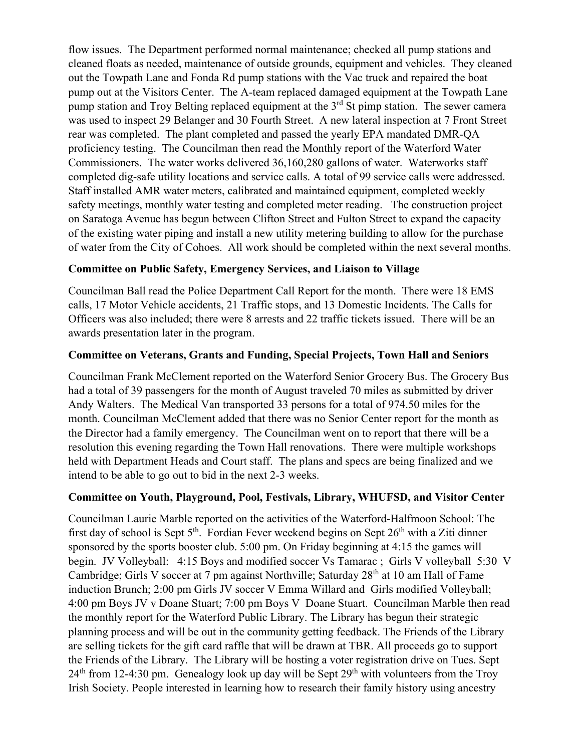flow issues. The Department performed normal maintenance; checked all pump stations and cleaned floats as needed, maintenance of outside grounds, equipment and vehicles. They cleaned out the Towpath Lane and Fonda Rd pump stations with the Vac truck and repaired the boat pump out at the Visitors Center. The A-team replaced damaged equipment at the Towpath Lane pump station and Troy Belting replaced equipment at the 3<sup>rd</sup> St pimp station. The sewer camera was used to inspect 29 Belanger and 30 Fourth Street. A new lateral inspection at 7 Front Street rear was completed. The plant completed and passed the yearly EPA mandated DMR-QA proficiency testing. The Councilman then read the Monthly report of the Waterford Water Commissioners. The water works delivered 36,160,280 gallons of water. Waterworks staff completed dig-safe utility locations and service calls. A total of 99 service calls were addressed. Staff installed AMR water meters, calibrated and maintained equipment, completed weekly safety meetings, monthly water testing and completed meter reading. The construction project on Saratoga Avenue has begun between Clifton Street and Fulton Street to expand the capacity of the existing water piping and install a new utility metering building to allow for the purchase of water from the City of Cohoes. All work should be completed within the next several months.

## **Committee on Public Safety, Emergency Services, and Liaison to Village**

Councilman Ball read the Police Department Call Report for the month. There were 18 EMS calls, 17 Motor Vehicle accidents, 21 Traffic stops, and 13 Domestic Incidents. The Calls for Officers was also included; there were 8 arrests and 22 traffic tickets issued. There will be an awards presentation later in the program.

## **Committee on Veterans, Grants and Funding, Special Projects, Town Hall and Seniors**

Councilman Frank McClement reported on the Waterford Senior Grocery Bus. The Grocery Bus had a total of 39 passengers for the month of August traveled 70 miles as submitted by driver Andy Walters. The Medical Van transported 33 persons for a total of 974.50 miles for the month. Councilman McClement added that there was no Senior Center report for the month as the Director had a family emergency. The Councilman went on to report that there will be a resolution this evening regarding the Town Hall renovations. There were multiple workshops held with Department Heads and Court staff. The plans and specs are being finalized and we intend to be able to go out to bid in the next 2-3 weeks.

# **Committee on Youth, Playground, Pool, Festivals, Library, WHUFSD, and Visitor Center**

Councilman Laurie Marble reported on the activities of the Waterford-Halfmoon School: The first day of school is Sept  $5<sup>th</sup>$ . Fordian Fever weekend begins on Sept  $26<sup>th</sup>$  with a Ziti dinner sponsored by the sports booster club. 5:00 pm. On Friday beginning at 4:15 the games will begin. JV Volleyball: 4:15 Boys and modified soccer Vs Tamarac ; Girls V volleyball 5:30 V Cambridge; Girls V soccer at 7 pm against Northville; Saturday 28<sup>th</sup> at 10 am Hall of Fame induction Brunch; 2:00 pm Girls JV soccer V Emma Willard and Girls modified Volleyball; 4:00 pm Boys JV v Doane Stuart; 7:00 pm Boys V Doane Stuart. Councilman Marble then read the monthly report for the Waterford Public Library. The Library has begun their strategic planning process and will be out in the community getting feedback. The Friends of the Library are selling tickets for the gift card raffle that will be drawn at TBR. All proceeds go to support the Friends of the Library. The Library will be hosting a voter registration drive on Tues. Sept  $24<sup>th</sup>$  from 12-4:30 pm. Genealogy look up day will be Sept  $29<sup>th</sup>$  with volunteers from the Troy Irish Society. People interested in learning how to research their family history using ancestry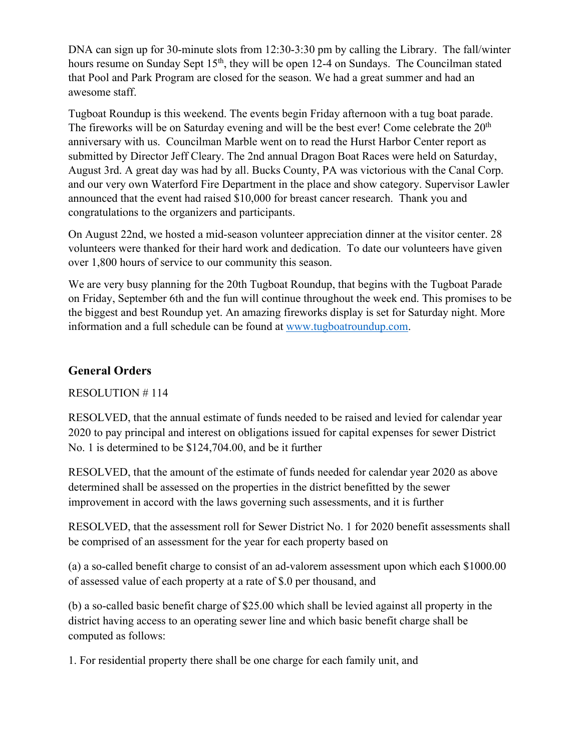DNA can sign up for 30-minute slots from 12:30-3:30 pm by calling the Library. The fall/winter hours resume on Sunday Sept 15<sup>th</sup>, they will be open 12-4 on Sundays. The Councilman stated that Pool and Park Program are closed for the season. We had a great summer and had an awesome staff.

Tugboat Roundup is this weekend. The events begin Friday afternoon with a tug boat parade. The fireworks will be on Saturday evening and will be the best ever! Come celebrate the  $20<sup>th</sup>$ anniversary with us. Councilman Marble went on to read the Hurst Harbor Center report as submitted by Director Jeff Cleary. The 2nd annual Dragon Boat Races were held on Saturday, August 3rd. A great day was had by all. Bucks County, PA was victorious with the Canal Corp. and our very own Waterford Fire Department in the place and show category. Supervisor Lawler announced that the event had raised \$10,000 for breast cancer research. Thank you and congratulations to the organizers and participants.

On August 22nd, we hosted a mid-season volunteer appreciation dinner at the visitor center. 28 volunteers were thanked for their hard work and dedication. To date our volunteers have given over 1,800 hours of service to our community this season.

We are very busy planning for the 20th Tugboat Roundup, that begins with the Tugboat Parade on Friday, September 6th and the fun will continue throughout the week end. This promises to be the biggest and best Roundup yet. An amazing fireworks display is set for Saturday night. More information and a full schedule can be found at www.tugboatroundup.com.

# **General Orders**

RESOLUTION # 114

RESOLVED, that the annual estimate of funds needed to be raised and levied for calendar year 2020 to pay principal and interest on obligations issued for capital expenses for sewer District No. 1 is determined to be \$124,704.00, and be it further

RESOLVED, that the amount of the estimate of funds needed for calendar year 2020 as above determined shall be assessed on the properties in the district benefitted by the sewer improvement in accord with the laws governing such assessments, and it is further

RESOLVED, that the assessment roll for Sewer District No. 1 for 2020 benefit assessments shall be comprised of an assessment for the year for each property based on

(a) a so-called benefit charge to consist of an ad-valorem assessment upon which each \$1000.00 of assessed value of each property at a rate of \$.0 per thousand, and

(b) a so-called basic benefit charge of \$25.00 which shall be levied against all property in the district having access to an operating sewer line and which basic benefit charge shall be computed as follows:

1. For residential property there shall be one charge for each family unit, and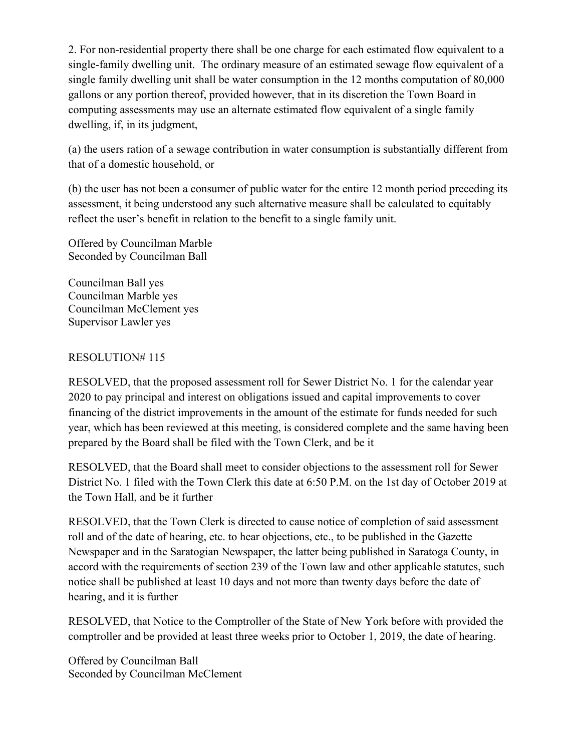2. For non-residential property there shall be one charge for each estimated flow equivalent to a single-family dwelling unit. The ordinary measure of an estimated sewage flow equivalent of a single family dwelling unit shall be water consumption in the 12 months computation of 80,000 gallons or any portion thereof, provided however, that in its discretion the Town Board in computing assessments may use an alternate estimated flow equivalent of a single family dwelling, if, in its judgment,

(a) the users ration of a sewage contribution in water consumption is substantially different from that of a domestic household, or

(b) the user has not been a consumer of public water for the entire 12 month period preceding its assessment, it being understood any such alternative measure shall be calculated to equitably reflect the user's benefit in relation to the benefit to a single family unit.

Offered by Councilman Marble Seconded by Councilman Ball

Councilman Ball yes Councilman Marble yes Councilman McClement yes Supervisor Lawler yes

## RESOLUTION# 115

RESOLVED, that the proposed assessment roll for Sewer District No. 1 for the calendar year 2020 to pay principal and interest on obligations issued and capital improvements to cover financing of the district improvements in the amount of the estimate for funds needed for such year, which has been reviewed at this meeting, is considered complete and the same having been prepared by the Board shall be filed with the Town Clerk, and be it

RESOLVED, that the Board shall meet to consider objections to the assessment roll for Sewer District No. 1 filed with the Town Clerk this date at 6:50 P.M. on the 1st day of October 2019 at the Town Hall, and be it further

RESOLVED, that the Town Clerk is directed to cause notice of completion of said assessment roll and of the date of hearing, etc. to hear objections, etc., to be published in the Gazette Newspaper and in the Saratogian Newspaper, the latter being published in Saratoga County, in accord with the requirements of section 239 of the Town law and other applicable statutes, such notice shall be published at least 10 days and not more than twenty days before the date of hearing, and it is further

RESOLVED, that Notice to the Comptroller of the State of New York before with provided the comptroller and be provided at least three weeks prior to October 1, 2019, the date of hearing.

Offered by Councilman Ball Seconded by Councilman McClement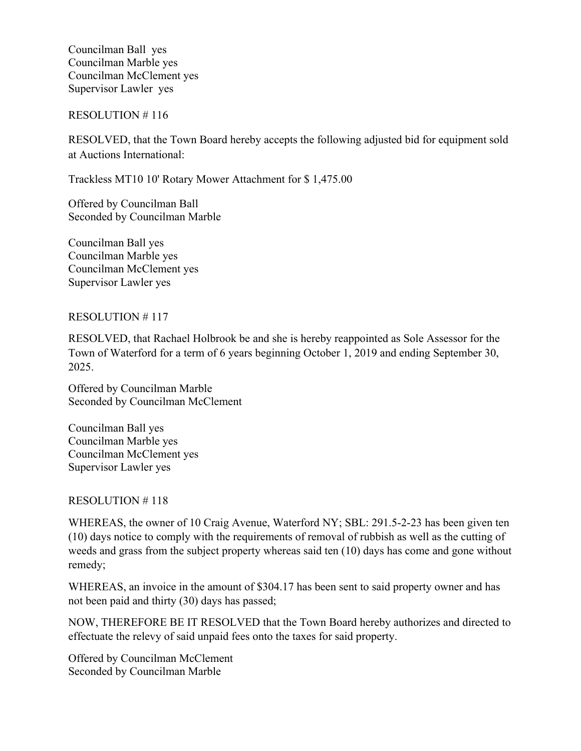Councilman Ball yes Councilman Marble yes Councilman McClement yes Supervisor Lawler yes

#### RESOLUTION # 116

RESOLVED, that the Town Board hereby accepts the following adjusted bid for equipment sold at Auctions International:

Trackless MT10 10' Rotary Mower Attachment for \$ 1,475.00

Offered by Councilman Ball Seconded by Councilman Marble

Councilman Ball yes Councilman Marble yes Councilman McClement yes Supervisor Lawler yes

#### RESOLUTION # 117

RESOLVED, that Rachael Holbrook be and she is hereby reappointed as Sole Assessor for the Town of Waterford for a term of 6 years beginning October 1, 2019 and ending September 30, 2025.

Offered by Councilman Marble Seconded by Councilman McClement

Councilman Ball yes Councilman Marble yes Councilman McClement yes Supervisor Lawler yes

### RESOLUTION # 118

WHEREAS, the owner of 10 Craig Avenue, Waterford NY; SBL: 291.5-2-23 has been given ten (10) days notice to comply with the requirements of removal of rubbish as well as the cutting of weeds and grass from the subject property whereas said ten (10) days has come and gone without remedy;

WHEREAS, an invoice in the amount of \$304.17 has been sent to said property owner and has not been paid and thirty (30) days has passed;

NOW, THEREFORE BE IT RESOLVED that the Town Board hereby authorizes and directed to effectuate the relevy of said unpaid fees onto the taxes for said property.

Offered by Councilman McClement Seconded by Councilman Marble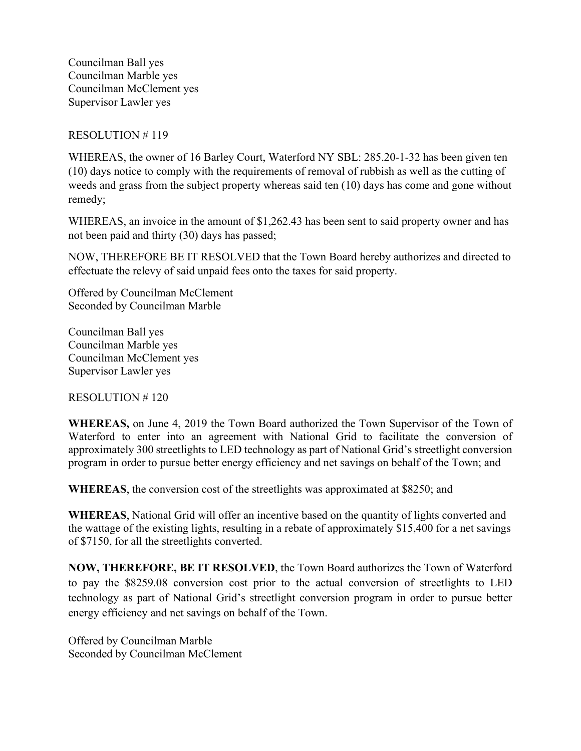Councilman Ball yes Councilman Marble yes Councilman McClement yes Supervisor Lawler yes

### RESOLUTION # 119

WHEREAS, the owner of 16 Barley Court, Waterford NY SBL: 285.20-1-32 has been given ten (10) days notice to comply with the requirements of removal of rubbish as well as the cutting of weeds and grass from the subject property whereas said ten (10) days has come and gone without remedy;

WHEREAS, an invoice in the amount of \$1,262.43 has been sent to said property owner and has not been paid and thirty (30) days has passed;

NOW, THEREFORE BE IT RESOLVED that the Town Board hereby authorizes and directed to effectuate the relevy of said unpaid fees onto the taxes for said property.

Offered by Councilman McClement Seconded by Councilman Marble

Councilman Ball yes Councilman Marble yes Councilman McClement yes Supervisor Lawler yes

RESOLUTION # 120

**WHEREAS,** on June 4, 2019 the Town Board authorized the Town Supervisor of the Town of Waterford to enter into an agreement with National Grid to facilitate the conversion of approximately 300 streetlights to LED technology as part of National Grid's streetlight conversion program in order to pursue better energy efficiency and net savings on behalf of the Town; and

**WHEREAS**, the conversion cost of the streetlights was approximated at \$8250; and

**WHEREAS**, National Grid will offer an incentive based on the quantity of lights converted and the wattage of the existing lights, resulting in a rebate of approximately \$15,400 for a net savings of \$7150, for all the streetlights converted.

**NOW, THEREFORE, BE IT RESOLVED**, the Town Board authorizes the Town of Waterford to pay the \$8259.08 conversion cost prior to the actual conversion of streetlights to LED technology as part of National Grid's streetlight conversion program in order to pursue better energy efficiency and net savings on behalf of the Town.

Offered by Councilman Marble Seconded by Councilman McClement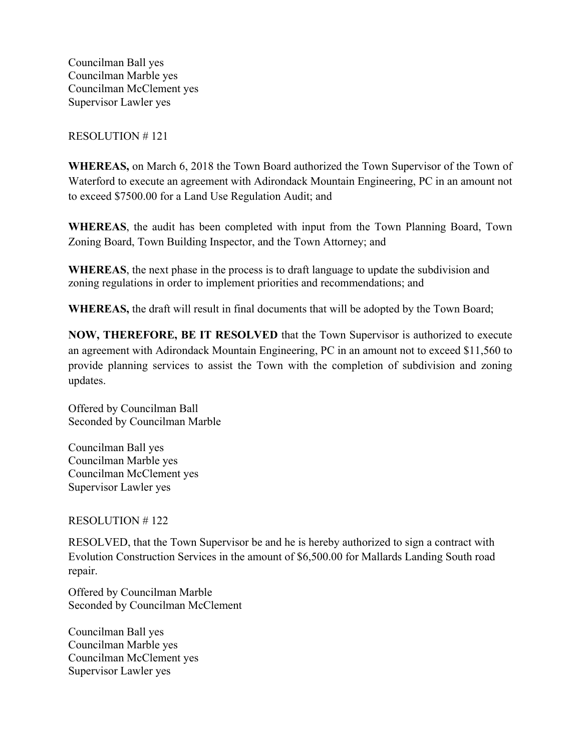Councilman Ball yes Councilman Marble yes Councilman McClement yes Supervisor Lawler yes

### RESOLUTION # 121

**WHEREAS,** on March 6, 2018 the Town Board authorized the Town Supervisor of the Town of Waterford to execute an agreement with Adirondack Mountain Engineering, PC in an amount not to exceed \$7500.00 for a Land Use Regulation Audit; and

**WHEREAS**, the audit has been completed with input from the Town Planning Board, Town Zoning Board, Town Building Inspector, and the Town Attorney; and

**WHEREAS**, the next phase in the process is to draft language to update the subdivision and zoning regulations in order to implement priorities and recommendations; and

**WHEREAS,** the draft will result in final documents that will be adopted by the Town Board;

**NOW, THEREFORE, BE IT RESOLVED** that the Town Supervisor is authorized to execute an agreement with Adirondack Mountain Engineering, PC in an amount not to exceed \$11,560 to provide planning services to assist the Town with the completion of subdivision and zoning updates.

Offered by Councilman Ball Seconded by Councilman Marble

Councilman Ball yes Councilman Marble yes Councilman McClement yes Supervisor Lawler yes

RESOLUTION # 122

RESOLVED, that the Town Supervisor be and he is hereby authorized to sign a contract with Evolution Construction Services in the amount of \$6,500.00 for Mallards Landing South road repair.

Offered by Councilman Marble Seconded by Councilman McClement

Councilman Ball yes Councilman Marble yes Councilman McClement yes Supervisor Lawler yes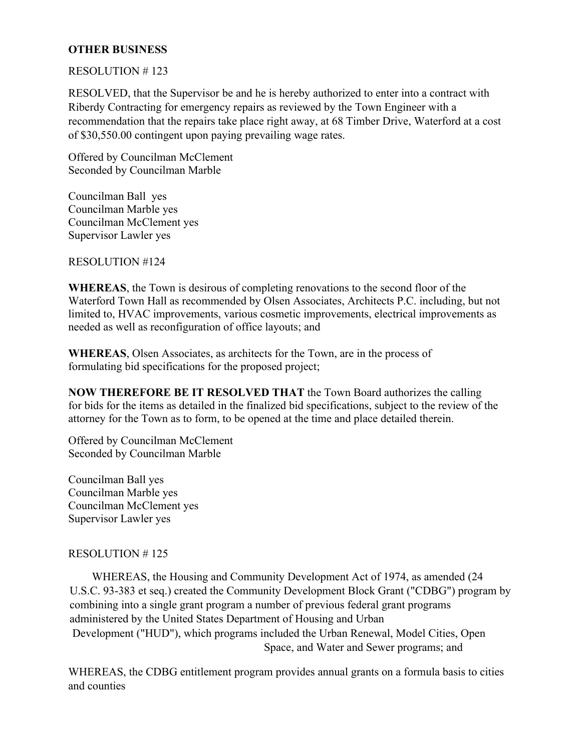## **OTHER BUSINESS**

#### RESOLUTION # 123

RESOLVED, that the Supervisor be and he is hereby authorized to enter into a contract with Riberdy Contracting for emergency repairs as reviewed by the Town Engineer with a recommendation that the repairs take place right away, at 68 Timber Drive, Waterford at a cost of \$30,550.00 contingent upon paying prevailing wage rates.

Offered by Councilman McClement Seconded by Councilman Marble

Councilman Ball yes Councilman Marble yes Councilman McClement yes Supervisor Lawler yes

RESOLUTION #124

**WHEREAS**, the Town is desirous of completing renovations to the second floor of the Waterford Town Hall as recommended by Olsen Associates, Architects P.C. including, but not limited to, HVAC improvements, various cosmetic improvements, electrical improvements as needed as well as reconfiguration of office layouts; and

**WHEREAS**, Olsen Associates, as architects for the Town, are in the process of formulating bid specifications for the proposed project;

**NOW THEREFORE BE IT RESOLVED THAT** the Town Board authorizes the calling for bids for the items as detailed in the finalized bid specifications, subject to the review of the attorney for the Town as to form, to be opened at the time and place detailed therein.

Offered by Councilman McClement Seconded by Councilman Marble

Councilman Ball yes Councilman Marble yes Councilman McClement yes Supervisor Lawler yes

### RESOLUTION # 125

 WHEREAS, the Housing and Community Development Act of 1974, as amended (24 U.S.C. 93-383 et seq.) created the Community Development Block Grant ("CDBG") program by combining into a single grant program a number of previous federal grant programs administered by the United States Department of Housing and Urban Development ("HUD"), which programs included the Urban Renewal, Model Cities, Open Space, and Water and Sewer programs; and

WHEREAS, the CDBG entitlement program provides annual grants on a formula basis to cities and counties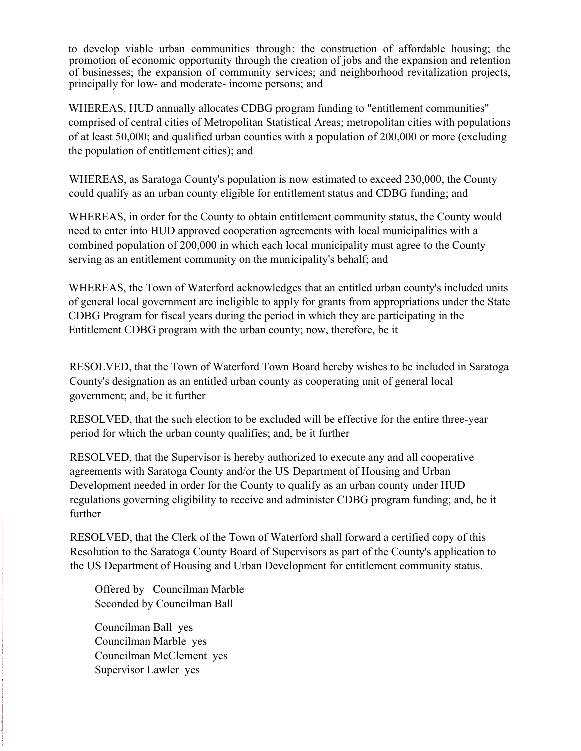to develop viable urban communities through: the construction of affordable housing; the promotion of economic opportunity through the creation of jobs and the expansion and retention of businesses; the expansion of community services; and neighborhood revitalization projects, principally for low- and moderate- income persons; and

WHEREAS, HUD annually allocates CDBG program funding to "entitlement communities" comprised of central cities of Metropolitan Statistical Areas; metropolitan cities with populations of at least 50,000; and qualified urban counties with a population of 200,000 or more (excluding the population of entitlement cities); and

WHEREAS, as Saratoga County's population is now estimated to exceed 230,000, the County could qualify as an urban county eligible for entitlement status and CDBG funding; and

WHEREAS, in order for the County to obtain entitlement community status, the County would need to enter into HUD approved cooperation agreements with local municipalities with a combined population of 200,000 in which each local municipality must agree to the County serving as an entitlement community on the municipality's behalf; and

WHEREAS, the Town of Waterford acknowledges that an entitled urban county's included units of general local government are ineligible to apply for grants from appropriations under the State CDBG Program for fiscal years during the period in which they are participating in the Entitlement CDBG program with the urban county; now, therefore, be it

RESOLVED, that the Town of Waterford Town Board hereby wishes to be included in Saratoga County's designation as an entitled urban county as cooperating unit of general local government; and, be it further

RESOLVED, that the such election to be excluded will be effective for the entire three-year period for which the urban county qualifies; and, be it further

RESOLVED, that the Supervisor is hereby authorized to execute any and all cooperative agreements with Saratoga County and/or the US Department of Housing and Urban Development needed in order for the County to qualify as an urban county under HUD regulations governing eligibility to receive and administer CDBG program funding; and, be it further

RESOLVED, that the Clerk of the Town of Waterford shall forward a certified copy of this Resolution to the Saratoga County Board of Supervisors as part of the County's application to the US Department of Housing and Urban Development for entitlement community status.

Offered by Councilman Marble Seconded by Councilman Ball

Councilman Ball yes Councilman Marble yes Councilman McClement yes Supervisor Lawler yes